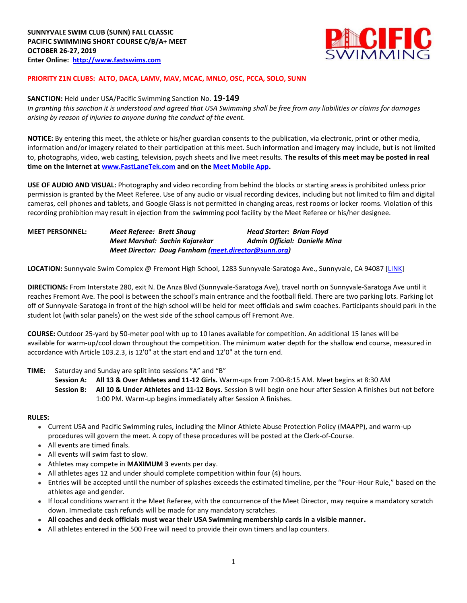

## **PRIORITY Z1N CLUBS: ALTO, DACA, LAMV, MAV, MCAC, MNLO, OSC, PCCA, SOLO, SUNN**

### **SANCTION:** Held under USA/Pacific Swimming Sanction No. **19-149**

*In granting this sanction it is understood and agreed that USA Swimming shall be free from any liabilities or claims for damages arising by reason of injuries to anyone during the conduct of the event.* 

**NOTICE:** By entering this meet, the athlete or his/her guardian consents to the publication, via electronic, print or other media, information and/or imagery related to their participation at this meet. Such information and imagery may include, but is not limited to, photographs, video, web casting, television, psych sheets and live meet results. **The results of this meet may be posted in real time on the Internet a[t www.FastLaneTek.com](http://www.fastlanetek.com/) and on th[e Meet Mobile App.](https://www.active.com/mobile/meet-mobile-app)**

**USE OF AUDIO AND VISUAL:** Photography and video recording from behind the blocks or starting areas is prohibited unless prior permission is granted by the Meet Referee. Use of any audio or visual recording devices, including but not limited to film and digital cameras, cell phones and tablets, and Google Glass is not permitted in changing areas, rest rooms or locker rooms. Violation of this recording prohibition may result in ejection from the swimming pool facility by the Meet Referee or his/her designee.

| <b>MEET PERSONNEL:</b> | Meet Referee: Brett Shaug      | <b>Head Starter: Brian Floyd</b>                     |  |  |  |  |  |
|------------------------|--------------------------------|------------------------------------------------------|--|--|--|--|--|
|                        | Meet Marshal: Sachin Kajarekar | Admin Official: Danielle Mina                        |  |  |  |  |  |
|                        |                                | Meet Director: Doug Farnham (meet.director@sunn.org) |  |  |  |  |  |

**LOCATION:** Sunnyvale Swim Complex @ Fremont High School, 1283 Sunnyvale-Saratoga Ave., Sunnyvale, CA 94087 [\[LINK\]](https://goo.gl/maps/YHiBA8jdjdBNDu4p6)

**DIRECTIONS:** From Interstate 280, exit N. De Anza Blvd (Sunnyvale-Saratoga Ave), travel north on Sunnyvale-Saratoga Ave until it reaches Fremont Ave. The pool is between the school's main entrance and the football field. There are two parking lots. Parking lot off of Sunnyvale-Saratoga in front of the high school will be held for meet officials and swim coaches. Participants should park in the student lot (with solar panels) on the west side of the school campus off Fremont Ave.

**COURSE:** Outdoor 25-yard by 50-meter pool with up to 10 lanes available for competition. An additional 15 lanes will be available for warm-up/cool down throughout the competition. The minimum water depth for the shallow end course, measured in accordance with Article 103.2.3, is 12'0" at the start end and 12'0" at the turn end.

#### **TIME:** Saturday and Sunday are split into sessions "A" and "B"

**Session A: All 13 & Over Athletes and 11-12 Girls.** Warm-ups from 7:00-8:15 AM. Meet begins at 8:30 AM **Session B: All 10 & Under Athletes and 11-12 Boys.** Session B will begin one hour after Session A finishes but not before 1:00 PM. Warm-up begins immediately after Session A finishes.

#### **RULES:**

- Current USA and Pacific Swimming rules, including the Minor Athlete Abuse Protection Policy (MAAPP), and warm-up procedures will govern the meet. A copy of these procedures will be posted at the Clerk-of-Course.
- All events are timed finals.
- All events will swim fast to slow.
- Athletes may compete in **MAXIMUM 3** events per day.
- All athletes ages 12 and under should complete competition within four (4) hours.
- Entries will be accepted until the number of splashes exceeds the estimated timeline, per the "Four-Hour Rule," based on the athletes age and gender.
- If local conditions warrant it the Meet Referee, with the concurrence of the Meet Director, may require a mandatory scratch down. Immediate cash refunds will be made for any mandatory scratches.
- **All coaches and deck officials must wear their USA Swimming membership cards in a visible manner.**
- All athletes entered in the 500 Free will need to provide their own timers and lap counters.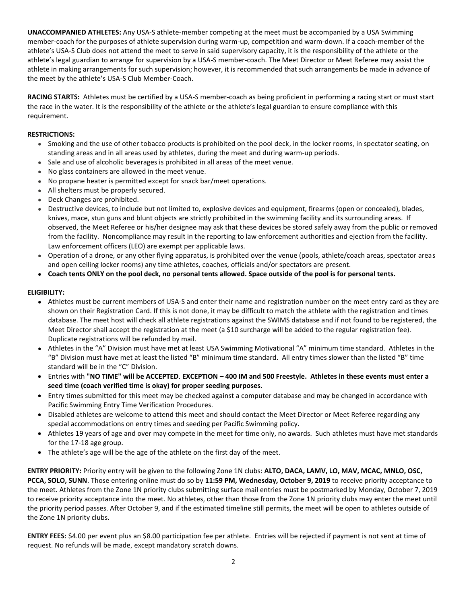**UNACCOMPANIED ATHLETES:** Any USA-S athlete-member competing at the meet must be accompanied by a USA Swimming member-coach for the purposes of athlete supervision during warm-up, competition and warm-down. If a coach-member of the athlete's USA-S Club does not attend the meet to serve in said supervisory capacity, it is the responsibility of the athlete or the athlete's legal guardian to arrange for supervision by a USA-S member-coach. The Meet Director or Meet Referee may assist the athlete in making arrangements for such supervision; however, it is recommended that such arrangements be made in advance of the meet by the athlete's USA-S Club Member-Coach.

**RACING STARTS:** Athletes must be certified by a USA-S member-coach as being proficient in performing a racing start or must start the race in the water. It is the responsibility of the athlete or the athlete's legal guardian to ensure compliance with this requirement.

## **RESTRICTIONS:**

- Smoking and the use of other tobacco products is prohibited on the pool deck, in the locker rooms, in spectator seating, on standing areas and in all areas used by athletes, during the meet and during warm-up periods.
- Sale and use of alcoholic beverages is prohibited in all areas of the meet venue.
- No glass containers are allowed in the meet venue.
- No propane heater is permitted except for snack bar/meet operations.
- All shelters must be properly secured.
- Deck Changes are prohibited.
- Destructive devices, to include but not limited to, explosive devices and equipment, firearms (open or concealed), blades, knives, mace, stun guns and blunt objects are strictly prohibited in the swimming facility and its surrounding areas. If observed, the Meet Referee or his/her designee may ask that these devices be stored safely away from the public or removed from the facility. Noncompliance may result in the reporting to law enforcement authorities and ejection from the facility. Law enforcement officers (LEO) are exempt per applicable laws.
- Operation of a drone, or any other flying apparatus, is prohibited over the venue (pools, athlete/coach areas, spectator areas and open ceiling locker rooms) any time athletes, coaches, officials and/or spectators are present.
- **Coach tents ONLY on the pool deck, no personal tents allowed. Space outside of the pool is for personal tents.**

#### **ELIGIBILITY:**

- Athletes must be current members of USA-S and enter their name and registration number on the meet entry card as they are shown on their Registration Card. If this is not done, it may be difficult to match the athlete with the registration and times database. The meet host will check all athlete registrations against the SWIMS database and if not found to be registered, the Meet Director shall accept the registration at the meet (a \$10 surcharge will be added to the regular registration fee). Duplicate registrations will be refunded by mail.
- Athletes in the "A" Division must have met at least USA Swimming Motivational "A" minimum time standard. Athletes in the "B" Division must have met at least the listed "B" minimum time standard. All entry times slower than the listed "B" time standard will be in the "C" Division.
- Entries with **"NO TIME" will be ACCEPTED**. **EXCEPTION – 400 IM and 500 Freestyle. Athletes in these events must enter a seed time (coach verified time is okay) for proper seeding purposes.**
- Entry times submitted for this meet may be checked against a computer database and may be changed in accordance with Pacific Swimming Entry Time Verification Procedures.
- Disabled athletes are welcome to attend this meet and should contact the Meet Director or Meet Referee regarding any special accommodations on entry times and seeding per Pacific Swimming policy.
- Athletes 19 years of age and over may compete in the meet for time only, no awards. Such athletes must have met standards for the 17-18 age group.
- The athlete's age will be the age of the athlete on the first day of the meet.

**ENTRY PRIORITY:** Priority entry will be given to the following Zone 1N clubs: **ALTO, DACA, LAMV, LO, MAV, MCAC, MNLO, OSC, PCCA, SOLO, SUNN**. Those entering online must do so by **11:59 PM, Wednesday, October 9, 2019** to receive priority acceptance to the meet. Athletes from the Zone 1N priority clubs submitting surface mail entries must be postmarked by Monday, October 7, 2019 to receive priority acceptance into the meet. No athletes, other than those from the Zone 1N priority clubs may enter the meet until the priority period passes. After October 9, and if the estimated timeline still permits, the meet will be open to athletes outside of the Zone 1N priority clubs.

**ENTRY FEES:** \$4.00 per event plus an \$8.00 participation fee per athlete. Entries will be rejected if payment is not sent at time of request. No refunds will be made, except mandatory scratch downs.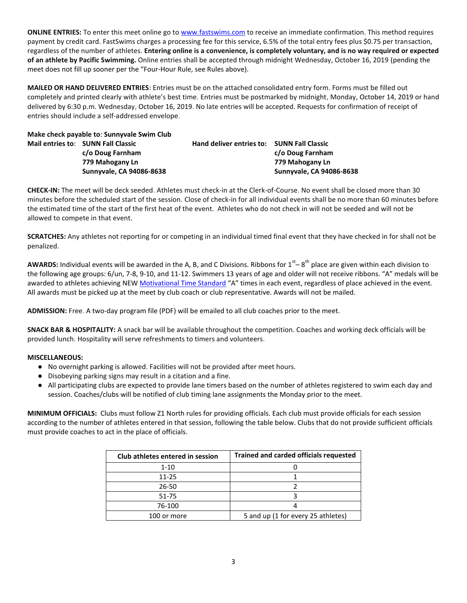**ONLINE ENTRIES:** To enter this meet online go to [www.fastswims.com](http://www.fastswims.com/) to receive an immediate confirmation. This method requires payment by credit card. FastSwims charges a processing fee for this service, 6.5% of the total entry fees plus \$0.75 per transaction, regardless of the number of athletes. **Entering online is a convenience, is completely voluntary, and is no way required or expected of an athlete by Pacific Swimming.** Online entries shall be accepted through midnight Wednesday, October 16, 2019 (pending the meet does not fill up sooner per the "Four-Hour Rule, see Rules above).

**MAILED OR HAND DELIVERED ENTRIES**: Entries must be on the attached consolidated entry form. Forms must be filled out completely and printed clearly with athlete's best time. Entries must be postmarked by midnight, Monday, October 14, 2019 or hand delivered by 6:30 p.m. Wednesday, October 16, 2019. No late entries will be accepted. Requests for confirmation of receipt of entries should include a self-addressed envelope.

**Make check payable to**: **Sunnyvale Swim Club Mail entries to**: **SUNN Fall Classic Hand deliver entries to: SUNN Fall Classic c/o Doug Farnham c/o Doug Farnham 779 Mahogany Ln 779 Mahogany Ln**

**Sunnyvale, CA 94086-8638 Sunnyvale, CA 94086-8638**

**CHECK-IN:** The meet will be deck seeded. Athletes must check-in at the Clerk-of-Course. No event shall be closed more than 30 minutes before the scheduled start of the session. Close of check-in for all individual events shall be no more than 60 minutes before the estimated time of the start of the first heat of the event. Athletes who do not check in will not be seeded and will not be allowed to compete in that event.

**SCRATCHES:** Any athletes not reporting for or competing in an individual timed final event that they have checked in for shall not be penalized.

AWARDS: Individual events will be awarded in the A, B, and C Divisions. Ribbons for 1<sup>st</sup>–8<sup>th</sup> place are given within each division to the following age groups: 6/un, 7-8, 9-10, and 11-12. Swimmers 13 years of age and older will not receive ribbons. "A" medals will be awarded to athletes achieving NEW [Motivational Time Standard](http://www.pacswim.org/swim-meet-times/standards) "A" times in each event, regardless of place achieved in the event. All awards must be picked up at the meet by club coach or club representative. Awards will not be mailed.

**ADMISSION:** Free. A two-day program file (PDF) will be emailed to all club coaches prior to the meet.

**SNACK BAR & HOSPITALITY:** A snack bar will be available throughout the competition. Coaches and working deck officials will be provided lunch. Hospitality will serve refreshments to timers and volunteers.

## **MISCELLANEOUS:**

- No overnight parking is allowed. Facilities will not be provided after meet hours.
- Disobeying parking signs may result in a citation and a fine.
- All participating clubs are expected to provide lane timers based on the number of athletes registered to swim each day and session. Coaches/clubs will be notified of club timing lane assignments the Monday prior to the meet.

**MINIMUM OFFICIALS:** Clubs must follow Z1 North rules for providing officials. Each club must provide officials for each session according to the number of athletes entered in that session, following the table below. Clubs that do not provide sufficient officials must provide coaches to act in the place of officials.

| Club athletes entered in session | <b>Trained and carded officials requested</b> |  |  |  |  |
|----------------------------------|-----------------------------------------------|--|--|--|--|
| $1 - 10$                         |                                               |  |  |  |  |
| $11 - 25$                        |                                               |  |  |  |  |
| 26-50                            |                                               |  |  |  |  |
| 51-75                            |                                               |  |  |  |  |
| 76-100                           |                                               |  |  |  |  |
| 100 or more                      | 5 and up (1 for every 25 athletes)            |  |  |  |  |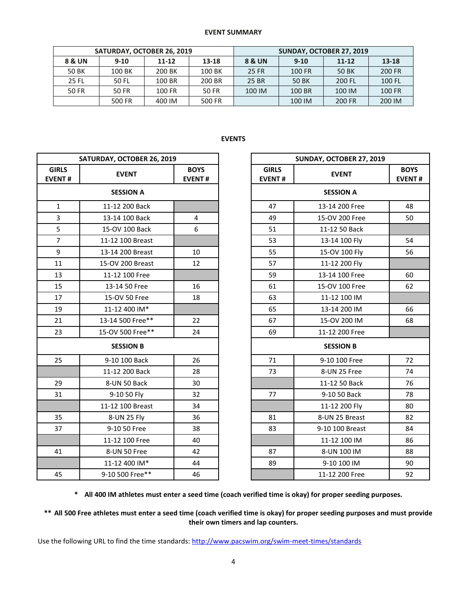### **EVENT SUMMARY**

|              | SATURDAY, OCTOBER 26, 2019 |           |        |        | SUNDAY, OCTOBER 27, 2019 |           |               |
|--------------|----------------------------|-----------|--------|--------|--------------------------|-----------|---------------|
| 8 & UN       | $9 - 10$                   | $11 - 12$ | 13-18  | 8 & UN | $9-10$                   | $11 - 12$ | 13-18         |
| 50 BK        | 100 BK                     | 200 BK    | 100 BK | 25 FR  | 100 FR                   | 50 BK     | <b>200 FR</b> |
| <b>25 FL</b> | 50 FL                      | 100 BR    | 200 BR | 25 BR  | 50 BK                    | 200 FL    | 100 FL        |
| 50 FR        | 50 FR                      | 100 FR    | 50 FR  | 100 IM | 100 BR                   | 100 IM    | 100 FR        |
|              | 500 FR                     | 400 IM    | 500 FR |        | 100 IM                   | 200 FR    | 200 IM        |

# **EVENTS**

|                               | SATURDAY, OCTOBER 26, 2019 |                              |                               | SUNDAY, OCTOBER 27, 2019 |                           |  |  |
|-------------------------------|----------------------------|------------------------------|-------------------------------|--------------------------|---------------------------|--|--|
| <b>GIRLS</b><br><b>EVENT#</b> | <b>EVENT</b>               | <b>BOYS</b><br><b>EVENT#</b> | <b>GIRLS</b><br><b>EVENT#</b> | <b>EVENT</b>             | <b>BOY</b><br><b>EVEN</b> |  |  |
|                               | <b>SESSION A</b>           |                              |                               | <b>SESSION A</b>         |                           |  |  |
| $\mathbf{1}$                  | 11-12 200 Back             |                              | 47                            | 13-14 200 Free           | 48                        |  |  |
| $\overline{3}$                | 13-14 100 Back             | $\overline{4}$               | 49                            | 15-OV 200 Free           | 50                        |  |  |
| 5                             | 15-OV 100 Back             | 6                            | 51                            | 11-12 50 Back            |                           |  |  |
| $\overline{7}$                | 11-12 100 Breast           |                              | 53                            | 13-14 100 Fly            | 54                        |  |  |
| 9                             | 13-14 200 Breast           | 10                           | 55                            | 15-OV 100 Fly            | 56                        |  |  |
| 11                            | 15-OV 200 Breast           | 12                           | 57                            | 11-12 200 Fly            |                           |  |  |
| 13                            | 11-12 100 Free             |                              | 59                            | 13-14 100 Free           | 60                        |  |  |
| 15                            | 13-14 50 Free              | 16                           | 61                            | 15-OV 100 Free           | 62                        |  |  |
| 17                            | 15-OV 50 Free              | 18                           | 63                            | 11-12 100 IM             |                           |  |  |
| 19                            | 11-12 400 IM*              |                              | 65                            | 13-14 200 IM             | 66                        |  |  |
| 21                            | 13-14 500 Free**           | 22                           | 67                            | 15-OV 200 IM             | 68                        |  |  |
| 23                            | 15-OV 500 Free**           | 24                           | 69                            | 11-12 200 Free           |                           |  |  |
|                               | <b>SESSION B</b>           |                              |                               | <b>SESSION B</b>         |                           |  |  |
| 25                            | 9-10 100 Back              | 26                           | 71                            | 9-10 100 Free            | 72                        |  |  |
|                               | 11-12 200 Back             | 28                           | 73                            | 8-UN 25 Free             | 74                        |  |  |
| 29                            | 8-UN 50 Back               | 30                           |                               | 11-12 50 Back            | 76                        |  |  |
| 31                            | 9-10 50 Fly                | 32                           | 77                            | 9-10 50 Back             | 78                        |  |  |
|                               | 11-12 100 Breast           | 34                           |                               | 11-12 200 Fly            | 80                        |  |  |
| 35                            | 8-UN 25 Fly                | 36                           | 81                            | 8-UN 25 Breast           | 82                        |  |  |
| 37                            | 9-10 50 Free               | 38                           | 83                            | 9-10 100 Breast          | 84                        |  |  |
|                               | 11-12 100 Free             | 40                           |                               | 11-12 100 IM             | 86                        |  |  |
| 41                            | 8-UN 50 Free               | 42                           | 87                            | 8-UN 100 IM              | 88                        |  |  |
|                               | 11-12 400 IM*              | 44                           | 89                            | 9-10 100 IM              | 90                        |  |  |
| 45                            | 9-10 500 Free**            | 46                           |                               | 11-12 200 Free           | 92                        |  |  |

|                   | SATURDAY, OCTOBER 26, 2019                   |    |                               | SUNDAY, OCTOBER 27, 2019 |                              |  |  |
|-------------------|----------------------------------------------|----|-------------------------------|--------------------------|------------------------------|--|--|
| <b>RLS</b><br>NT# | <b>BOYS</b><br><b>EVENT</b><br><b>EVENT#</b> |    | <b>GIRLS</b><br><b>EVENT#</b> | <b>EVENT</b>             | <b>BOYS</b><br><b>EVENT#</b> |  |  |
|                   | <b>SESSION A</b>                             |    |                               | <b>SESSION A</b>         |                              |  |  |
| $\mathbf 1$       | 11-12 200 Back                               |    | 47                            | 13-14 200 Free           | 48                           |  |  |
| 3                 | 13-14 100 Back                               | 4  | 49                            | 15-OV 200 Free           | 50                           |  |  |
| $\frac{5}{7}$     | 15-OV 100 Back                               | 6  | 51                            | 11-12 50 Back            |                              |  |  |
|                   | 11-12 100 Breast                             |    | 53                            | 13-14 100 Fly            | 54                           |  |  |
| $\overline{9}$    | 13-14 200 Breast                             | 10 | 55                            | 15-OV 100 Fly            | 56                           |  |  |
| $\overline{1}$    | 15-OV 200 Breast                             | 12 | 57                            | 11-12 200 Fly            |                              |  |  |
| L3                | 11-12 100 Free                               |    | 59                            | 13-14 100 Free           | 60                           |  |  |
| L5                | 13-14 50 Free                                | 16 | 61                            | 15-OV 100 Free           | 62                           |  |  |
| L7                | 15-OV 50 Free                                | 18 | 63                            | 11-12 100 IM             |                              |  |  |
| L9                | 11-12 400 IM*                                |    | 65                            | 13-14 200 IM             | 66                           |  |  |
| $\overline{21}$   | 13-14 500 Free**                             | 22 | 67                            | 15-OV 200 IM             | 68                           |  |  |
| $^{23}$           | 15-OV 500 Free**                             | 24 | 69                            | 11-12 200 Free           |                              |  |  |
|                   | <b>SESSION B</b>                             |    |                               | <b>SESSION B</b>         |                              |  |  |
| 25.               | 9-10 100 Back                                | 26 | 71                            | 9-10 100 Free            | 72                           |  |  |
|                   | 11-12 200 Back                               | 28 | 73                            | 8-UN 25 Free             | 74                           |  |  |
| 29                | 8-UN 50 Back                                 | 30 |                               | 11-12 50 Back            | 76                           |  |  |
| $^{31}$           | 9-10 50 Fly                                  | 32 | 77                            | 9-10 50 Back             | 78                           |  |  |
|                   | 11-12 100 Breast                             | 34 |                               | 11-12 200 Fly            | 80                           |  |  |
| 35 <sub>1</sub>   | 8-UN 25 Fly                                  | 36 | 81                            | 8-UN 25 Breast           | 82                           |  |  |
| 37                | 9-10 50 Free                                 | 38 | 83                            | 9-10 100 Breast          | 84                           |  |  |
|                   | 11-12 100 Free                               | 40 |                               | 11-12 100 IM             | 86                           |  |  |
| 11                | 8-UN 50 Free                                 | 42 | 87                            | 8-UN 100 IM              | 88                           |  |  |
|                   | 11-12 400 IM*                                | 44 | 89                            | 9-10 100 IM              | 90                           |  |  |
| 15                | 9-10 500 Free**                              | 46 |                               | 11-12 200 Free           | 92                           |  |  |

**\* All 400 IM athletes must enter a seed time (coach verified time is okay) for proper seeding purposes.**

**\*\* All 500 Free athletes must enter a seed time (coach verified time is okay) for proper seeding purposes and must provide their own timers and lap counters.**

Use the following URL to find the time standards[: http://www.pacswim.org/swim-meet-times/standards](http://www.pacswim.org/swim-meet-times/standards)